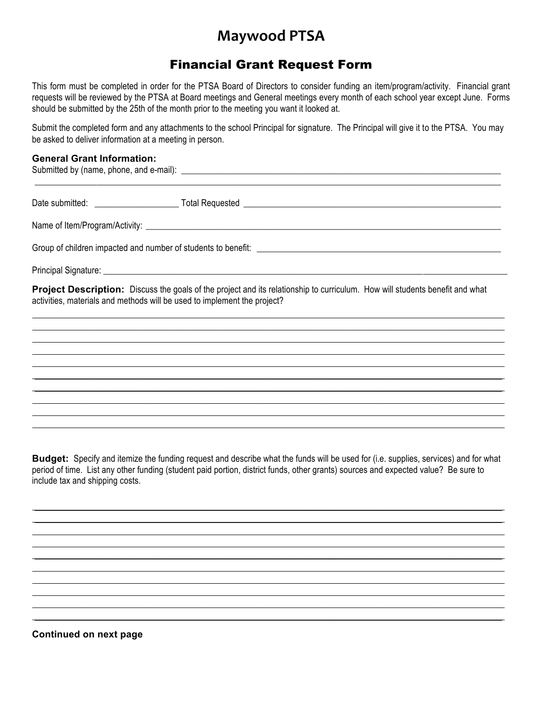## **Maywood PTSA**

## Financial Grant Request Form

This form must be completed in order for the PTSA Board of Directors to consider funding an item/program/activity. Financial grant requests will be reviewed by the PTSA at Board meetings and General meetings every month of each school year except June. Forms should be submitted by the 25th of the month prior to the meeting you want it looked at.

Submit the completed form and any attachments to the school Principal for signature. The Principal will give it to the PTSA. You may be asked to deliver information at a meeting in person.

## **General Grant Information:**

Submitted by (name, phone, and e-mail): \_\_\_\_\_\_\_\_\_\_\_\_\_\_\_\_\_\_\_\_\_\_\_\_\_\_\_\_\_\_\_\_\_\_\_\_\_\_\_\_\_\_\_\_\_\_\_\_\_\_\_\_\_\_\_\_\_\_\_\_\_\_\_\_\_\_\_\_\_\_\_\_ \_\_\_\_\_\_\_\_\_\_\_\_\_\_\_\_\_\_\_\_\_\_\_\_\_\_\_\_\_\_\_\_\_\_\_\_\_\_\_\_\_\_\_\_\_\_\_\_\_\_\_\_\_\_\_\_\_\_\_\_\_\_\_\_\_\_\_\_\_\_\_\_\_\_\_\_\_\_\_\_\_\_\_\_\_\_\_\_\_\_\_\_\_\_\_\_\_\_\_\_\_\_\_\_\_ Date submitted: \_\_\_\_\_\_\_\_\_\_\_\_\_\_\_\_\_\_\_ Total Requested \_\_\_\_\_\_\_\_\_\_\_\_\_\_\_\_\_\_\_\_\_\_\_\_\_\_\_\_\_\_\_\_\_\_\_\_\_\_\_\_\_\_\_\_\_\_\_\_\_\_\_\_\_\_\_\_\_\_ Name of Item/Program/Activity: \_\_\_\_\_\_\_\_\_\_\_\_\_\_\_\_\_\_\_\_\_\_\_\_\_\_\_\_\_\_\_\_\_\_\_\_\_\_\_\_\_\_\_\_\_\_\_\_\_\_\_\_\_\_\_\_\_\_\_\_\_\_\_\_\_\_\_\_\_\_\_\_\_\_\_\_\_\_\_\_ Group of children impacted and number of students to benefit: \_\_\_\_\_\_\_\_\_\_\_\_\_\_\_\_\_\_\_\_\_\_\_\_\_\_\_\_\_\_\_\_\_\_\_\_\_\_\_\_\_\_\_\_\_\_\_\_\_\_\_\_\_\_\_ Principal Signature: **Project Description:** Discuss the goals of the project and its relationship to curriculum. How will students benefit and what activities, materials and methods will be used to implement the project?  $\mathcal{L}_\mathcal{L} = \mathcal{L}_\mathcal{L} = \mathcal{L}_\mathcal{L} = \mathcal{L}_\mathcal{L} = \mathcal{L}_\mathcal{L} = \mathcal{L}_\mathcal{L} = \mathcal{L}_\mathcal{L} = \mathcal{L}_\mathcal{L} = \mathcal{L}_\mathcal{L} = \mathcal{L}_\mathcal{L} = \mathcal{L}_\mathcal{L} = \mathcal{L}_\mathcal{L} = \mathcal{L}_\mathcal{L} = \mathcal{L}_\mathcal{L} = \mathcal{L}_\mathcal{L} = \mathcal{L}_\mathcal{L} = \mathcal{L}_\mathcal{L}$  $\mathcal{L}_\mathcal{L} = \mathcal{L}_\mathcal{L} = \mathcal{L}_\mathcal{L} = \mathcal{L}_\mathcal{L} = \mathcal{L}_\mathcal{L} = \mathcal{L}_\mathcal{L} = \mathcal{L}_\mathcal{L} = \mathcal{L}_\mathcal{L} = \mathcal{L}_\mathcal{L} = \mathcal{L}_\mathcal{L} = \mathcal{L}_\mathcal{L} = \mathcal{L}_\mathcal{L} = \mathcal{L}_\mathcal{L} = \mathcal{L}_\mathcal{L} = \mathcal{L}_\mathcal{L} = \mathcal{L}_\mathcal{L} = \mathcal{L}_\mathcal{L}$  $\_$  , and the set of the set of the set of the set of the set of the set of the set of the set of the set of the set of the set of the set of the set of the set of the set of the set of the set of the set of the set of th  $\_$  , and the set of the set of the set of the set of the set of the set of the set of the set of the set of the set of the set of the set of the set of the set of the set of the set of the set of the set of the set of th  $\mathcal{L}_\mathcal{L} = \mathcal{L}_\mathcal{L} = \mathcal{L}_\mathcal{L} = \mathcal{L}_\mathcal{L} = \mathcal{L}_\mathcal{L} = \mathcal{L}_\mathcal{L} = \mathcal{L}_\mathcal{L} = \mathcal{L}_\mathcal{L} = \mathcal{L}_\mathcal{L} = \mathcal{L}_\mathcal{L} = \mathcal{L}_\mathcal{L} = \mathcal{L}_\mathcal{L} = \mathcal{L}_\mathcal{L} = \mathcal{L}_\mathcal{L} = \mathcal{L}_\mathcal{L} = \mathcal{L}_\mathcal{L} = \mathcal{L}_\mathcal{L}$  $\mathcal{L}_\mathcal{L} = \mathcal{L}_\mathcal{L} = \mathcal{L}_\mathcal{L} = \mathcal{L}_\mathcal{L} = \mathcal{L}_\mathcal{L} = \mathcal{L}_\mathcal{L} = \mathcal{L}_\mathcal{L} = \mathcal{L}_\mathcal{L} = \mathcal{L}_\mathcal{L} = \mathcal{L}_\mathcal{L} = \mathcal{L}_\mathcal{L} = \mathcal{L}_\mathcal{L} = \mathcal{L}_\mathcal{L} = \mathcal{L}_\mathcal{L} = \mathcal{L}_\mathcal{L} = \mathcal{L}_\mathcal{L} = \mathcal{L}_\mathcal{L}$  $\_$  , and the set of the set of the set of the set of the set of the set of the set of the set of the set of the set of the set of the set of the set of the set of the set of the set of the set of the set of the set of th  $\mathcal{L}_\mathcal{L} = \mathcal{L}_\mathcal{L} = \mathcal{L}_\mathcal{L} = \mathcal{L}_\mathcal{L} = \mathcal{L}_\mathcal{L} = \mathcal{L}_\mathcal{L} = \mathcal{L}_\mathcal{L} = \mathcal{L}_\mathcal{L} = \mathcal{L}_\mathcal{L} = \mathcal{L}_\mathcal{L} = \mathcal{L}_\mathcal{L} = \mathcal{L}_\mathcal{L} = \mathcal{L}_\mathcal{L} = \mathcal{L}_\mathcal{L} = \mathcal{L}_\mathcal{L} = \mathcal{L}_\mathcal{L} = \mathcal{L}_\mathcal{L}$  $\mathcal{L}_\mathcal{L} = \mathcal{L}_\mathcal{L} = \mathcal{L}_\mathcal{L} = \mathcal{L}_\mathcal{L} = \mathcal{L}_\mathcal{L} = \mathcal{L}_\mathcal{L} = \mathcal{L}_\mathcal{L} = \mathcal{L}_\mathcal{L} = \mathcal{L}_\mathcal{L} = \mathcal{L}_\mathcal{L} = \mathcal{L}_\mathcal{L} = \mathcal{L}_\mathcal{L} = \mathcal{L}_\mathcal{L} = \mathcal{L}_\mathcal{L} = \mathcal{L}_\mathcal{L} = \mathcal{L}_\mathcal{L} = \mathcal{L}_\mathcal{L}$  $\_$  , and the set of the set of the set of the set of the set of the set of the set of the set of the set of the set of the set of the set of the set of the set of the set of the set of the set of the set of the set of th

**Budget:** Specify and itemize the funding request and describe what the funds will be used for (i.e. supplies, services) and for what period of time. List any other funding (student paid portion, district funds, other grants) sources and expected value? Be sure to include tax and shipping costs.

 $\_$  , and the set of the set of the set of the set of the set of the set of the set of the set of the set of the set of the set of the set of the set of the set of the set of the set of the set of the set of the set of th  $\mathcal{L}_\mathcal{L} = \mathcal{L}_\mathcal{L} = \mathcal{L}_\mathcal{L} = \mathcal{L}_\mathcal{L} = \mathcal{L}_\mathcal{L} = \mathcal{L}_\mathcal{L} = \mathcal{L}_\mathcal{L} = \mathcal{L}_\mathcal{L} = \mathcal{L}_\mathcal{L} = \mathcal{L}_\mathcal{L} = \mathcal{L}_\mathcal{L} = \mathcal{L}_\mathcal{L} = \mathcal{L}_\mathcal{L} = \mathcal{L}_\mathcal{L} = \mathcal{L}_\mathcal{L} = \mathcal{L}_\mathcal{L} = \mathcal{L}_\mathcal{L}$  $\_$  , and the set of the set of the set of the set of the set of the set of the set of the set of the set of the set of the set of the set of the set of the set of the set of the set of the set of the set of the set of th  $\mathcal{L}_\mathcal{L} = \mathcal{L}_\mathcal{L} = \mathcal{L}_\mathcal{L} = \mathcal{L}_\mathcal{L} = \mathcal{L}_\mathcal{L} = \mathcal{L}_\mathcal{L} = \mathcal{L}_\mathcal{L} = \mathcal{L}_\mathcal{L} = \mathcal{L}_\mathcal{L} = \mathcal{L}_\mathcal{L} = \mathcal{L}_\mathcal{L} = \mathcal{L}_\mathcal{L} = \mathcal{L}_\mathcal{L} = \mathcal{L}_\mathcal{L} = \mathcal{L}_\mathcal{L} = \mathcal{L}_\mathcal{L} = \mathcal{L}_\mathcal{L}$  $\mathcal{L}_\mathcal{L} = \mathcal{L}_\mathcal{L} = \mathcal{L}_\mathcal{L} = \mathcal{L}_\mathcal{L} = \mathcal{L}_\mathcal{L} = \mathcal{L}_\mathcal{L} = \mathcal{L}_\mathcal{L} = \mathcal{L}_\mathcal{L} = \mathcal{L}_\mathcal{L} = \mathcal{L}_\mathcal{L} = \mathcal{L}_\mathcal{L} = \mathcal{L}_\mathcal{L} = \mathcal{L}_\mathcal{L} = \mathcal{L}_\mathcal{L} = \mathcal{L}_\mathcal{L} = \mathcal{L}_\mathcal{L} = \mathcal{L}_\mathcal{L}$  $\_$  , and the set of the set of the set of the set of the set of the set of the set of the set of the set of the set of the set of the set of the set of the set of the set of the set of the set of the set of the set of th  $\mathcal{L}_\mathcal{L} = \mathcal{L}_\mathcal{L} = \mathcal{L}_\mathcal{L} = \mathcal{L}_\mathcal{L} = \mathcal{L}_\mathcal{L} = \mathcal{L}_\mathcal{L} = \mathcal{L}_\mathcal{L} = \mathcal{L}_\mathcal{L} = \mathcal{L}_\mathcal{L} = \mathcal{L}_\mathcal{L} = \mathcal{L}_\mathcal{L} = \mathcal{L}_\mathcal{L} = \mathcal{L}_\mathcal{L} = \mathcal{L}_\mathcal{L} = \mathcal{L}_\mathcal{L} = \mathcal{L}_\mathcal{L} = \mathcal{L}_\mathcal{L}$  $\mathcal{L}_\mathcal{L} = \mathcal{L}_\mathcal{L} = \mathcal{L}_\mathcal{L} = \mathcal{L}_\mathcal{L} = \mathcal{L}_\mathcal{L} = \mathcal{L}_\mathcal{L} = \mathcal{L}_\mathcal{L} = \mathcal{L}_\mathcal{L} = \mathcal{L}_\mathcal{L} = \mathcal{L}_\mathcal{L} = \mathcal{L}_\mathcal{L} = \mathcal{L}_\mathcal{L} = \mathcal{L}_\mathcal{L} = \mathcal{L}_\mathcal{L} = \mathcal{L}_\mathcal{L} = \mathcal{L}_\mathcal{L} = \mathcal{L}_\mathcal{L}$  $\_$  , and the set of the set of the set of the set of the set of the set of the set of the set of the set of the set of the set of the set of the set of the set of the set of the set of the set of the set of the set of th  $\_$  , and the set of the set of the set of the set of the set of the set of the set of the set of the set of the set of the set of the set of the set of the set of the set of the set of the set of the set of the set of th

**Continued on next page**